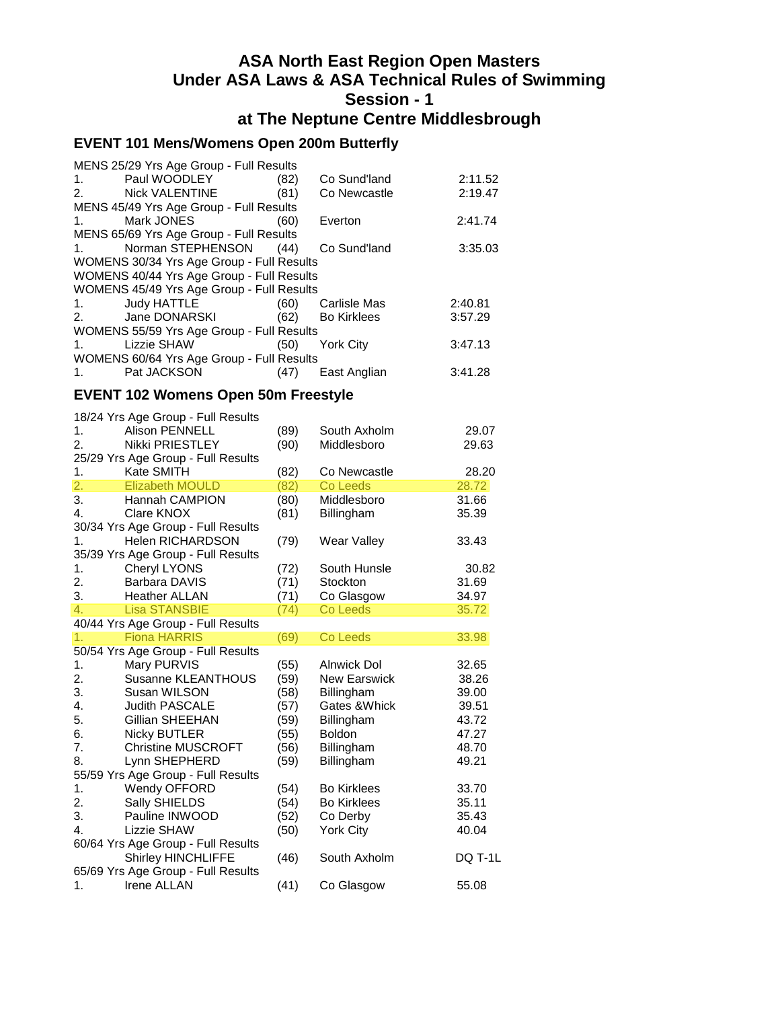## **ASA North East Region Open Masters Under ASA Laws & ASA Technical Rules of Swimming Session - 1 at The Neptune Centre Middlesbrough**

## **EVENT 101 Mens/Womens Open 200m Butterfly**

| MENS 25/29 Yrs Age Group - Full Results            |      |                   |         |
|----------------------------------------------------|------|-------------------|---------|
| Paul WOODLEY<br>$1.$ $\sim$                        | (82) | Co Sund'land      | 2:11.52 |
| 2. Nick VALENTINE                                  | (81) | Co Newcastle      | 2:19.47 |
| MENS 45/49 Yrs Age Group - Full Results            |      |                   |         |
| Mark JONES <b>Mark</b><br>1.                       | (60) | Everton           | 2:41.74 |
| MENS 65/69 Yrs Age Group - Full Results            |      |                   |         |
| Norman STEPHENSON (44)<br>1.                       |      | Co Sund'land      | 3:35.03 |
| WOMENS 30/34 Yrs Age Group - Full Results          |      |                   |         |
| WOMENS 40/44 Yrs Age Group - Full Results          |      |                   |         |
| WOMENS 45/49 Yrs Age Group - Full Results          |      |                   |         |
| Judy HATTLE<br>1.                                  |      | (60) Carlisle Mas | 2:40.81 |
| Jane DONARSKI<br>2.                                |      | (62) Bo Kirklees  | 3:57.29 |
| WOMENS 55/59 Yrs Age Group - Full Results          |      |                   |         |
| Lizzie SHAW <b>Andrew Structure</b><br>$1_{\cdot}$ | (50) | <b>York City</b>  | 3:47.13 |
| WOMENS 60/64 Yrs Age Group - Full Results          |      |                   |         |
| Pat JACKSON<br>1.                                  | (47) | East Anglian      | 3:41.28 |
|                                                    |      |                   |         |

## **EVENT 102 Womens Open 50m Freestyle**

|    | 18/24 Yrs Age Group - Full Results |      |                    |         |
|----|------------------------------------|------|--------------------|---------|
| 1. | <b>Alison PENNELL</b>              | (89) | South Axholm       | 29.07   |
| 2. | Nikki PRIESTLEY                    | (90) | Middlesboro        | 29.63   |
|    | 25/29 Yrs Age Group - Full Results |      |                    |         |
| 1. | Kate SMITH                         | (82) | Co Newcastle       | 28.20   |
| 2. | <b>Elizabeth MOULD</b>             | (82) | Co Leeds           | 28.72   |
| 3. | Hannah CAMPION                     | (80) | Middlesboro        | 31.66   |
| 4. | Clare KNOX                         | (81) | Billingham         | 35.39   |
|    | 30/34 Yrs Age Group - Full Results |      |                    |         |
| 1. | Helen RICHARDSON                   | (79) | Wear Valley        | 33.43   |
|    | 35/39 Yrs Age Group - Full Results |      |                    |         |
| 1. | Cheryl LYONS                       | (72) | South Hunsle       | 30.82   |
| 2. | <b>Barbara DAVIS</b>               | (71) | Stockton           | 31.69   |
| 3. | <b>Heather ALLAN</b>               | (71) | Co Glasgow         | 34.97   |
| 4. | <b>Lisa STANSBIE</b>               |      | <b>Co Leeds</b>    | 35.72   |
|    | 40/44 Yrs Age Group - Full Results | (74) |                    |         |
|    | <b>Fiona HARRIS</b>                |      |                    |         |
| 1. |                                    | (69) | Co Leeds           | 33.98   |
|    | 50/54 Yrs Age Group - Full Results |      |                    |         |
| 1. | Mary PURVIS                        | (55) | <b>Alnwick Dol</b> | 32.65   |
| 2. | Susanne KLEANTHOUS                 | (59) | New Earswick       | 38.26   |
| 3. | Susan WILSON                       | (58) | Billingham         | 39.00   |
| 4. | <b>Judith PASCALE</b>              | (57) | Gates & Whick      | 39.51   |
| 5. | Gillian SHEEHAN                    | (59) | Billingham         | 43.72   |
| 6. | <b>Nicky BUTLER</b>                | (55) | <b>Boldon</b>      | 47.27   |
| 7. | <b>Christine MUSCROFT</b>          | (56) | Billingham         | 48.70   |
| 8. | Lynn SHEPHERD                      | (59) | Billingham         | 49.21   |
|    | 55/59 Yrs Age Group - Full Results |      |                    |         |
| 1. | Wendy OFFORD                       | (54) | <b>Bo Kirklees</b> | 33.70   |
| 2. | Sally SHIELDS                      | (54) | <b>Bo Kirklees</b> | 35.11   |
| 3. | Pauline INWOOD                     | (52) | Co Derby           | 35.43   |
| 4. | Lizzie SHAW                        | (50) | York City          | 40.04   |
|    | 60/64 Yrs Age Group - Full Results |      |                    |         |
|    | <b>Shirley HINCHLIFFE</b>          | (46) | South Axholm       | DQ T-1L |
|    | 65/69 Yrs Age Group - Full Results |      |                    |         |
| 1. | <b>Irene ALLAN</b>                 | (41) | Co Glasgow         | 55.08   |
|    |                                    |      |                    |         |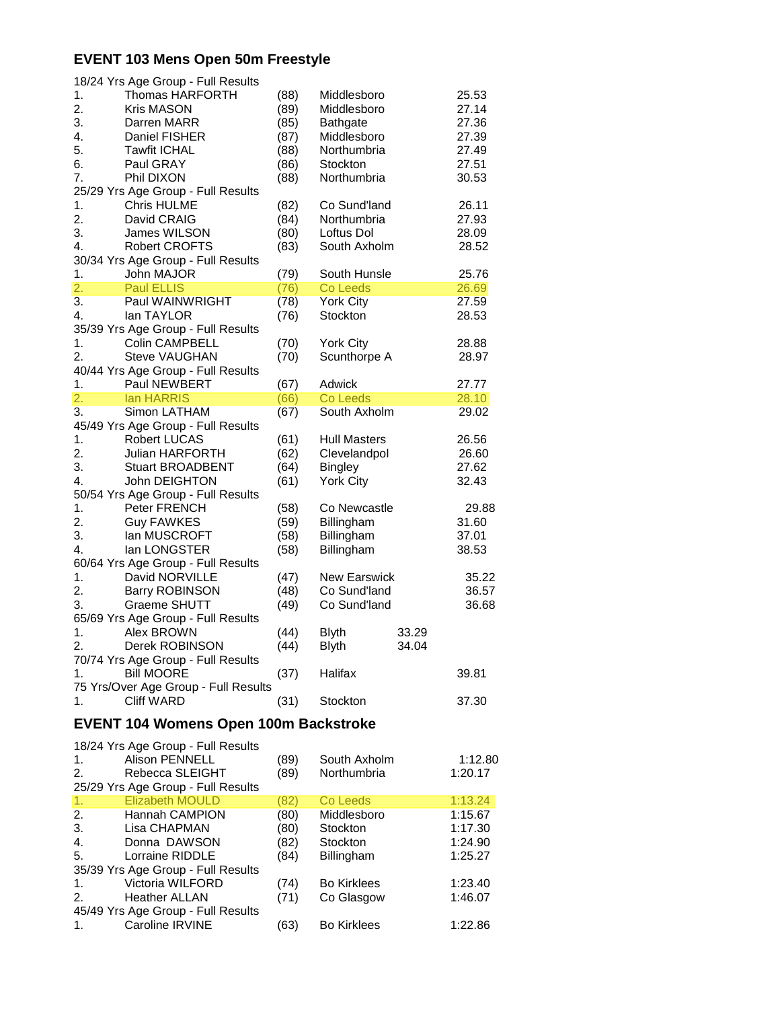### **EVENT 103 Mens Open 50m Freestyle**

|                        | 18/24 Yrs Age Group - Full Results                           |      |                     |       |         |
|------------------------|--------------------------------------------------------------|------|---------------------|-------|---------|
| 1.                     | Thomas HARFORTH                                              | (88) | Middlesboro         |       | 25.53   |
| 2.                     | <b>Kris MASON</b>                                            | (89) | Middlesboro         |       | 27.14   |
| 3.                     | Darren MARR                                                  | (85) | <b>Bathgate</b>     |       | 27.36   |
| 4.                     | Daniel FISHER                                                | (87) | Middlesboro         |       | 27.39   |
| 5.                     | <b>Tawfit ICHAL</b>                                          | (88) | Northumbria         |       | 27.49   |
| 6.                     | Paul GRAY                                                    | (86) | Stockton            |       | 27.51   |
| 7.                     | Phil DIXON                                                   | (88) | Northumbria         |       | 30.53   |
|                        | 25/29 Yrs Age Group - Full Results                           |      |                     |       |         |
| 1.                     | <b>Chris HULME</b>                                           | (82) | Co Sund'land        |       | 26.11   |
| 2.                     | David CRAIG                                                  | (84) | Northumbria         |       | 27.93   |
| 3.                     | James WILSON                                                 | (80) | Loftus Dol          |       | 28.09   |
| 4.                     | <b>Robert CROFTS</b>                                         | (83) | South Axholm        |       | 28.52   |
|                        | 30/34 Yrs Age Group - Full Results                           |      |                     |       |         |
|                        |                                                              |      |                     |       |         |
| 1.<br>$\overline{2}$ . | John MAJOR                                                   | (79) | South Hunsle        |       | 25.76   |
|                        | <b>Paul ELLIS</b>                                            | (76) | Co Leeds            |       | 26.69   |
| 3.                     | Paul WAINWRIGHT                                              | (78) | York City           |       | 27.59   |
| 4.                     | lan TAYLOR                                                   | (76) | Stockton            |       | 28.53   |
|                        | 35/39 Yrs Age Group - Full Results                           |      |                     |       |         |
| 1.                     | <b>Colin CAMPBELL</b>                                        | (70) | <b>York City</b>    |       | 28.88   |
| 2.                     | <b>Steve VAUGHAN</b>                                         | (70) | Scunthorpe A        |       | 28.97   |
|                        | 40/44 Yrs Age Group - Full Results                           |      |                     |       |         |
| 1.                     | Paul NEWBERT                                                 | (67) | Adwick              |       | 27.77   |
| 2.                     | lan HARRIS                                                   | (66) | <b>Co Leeds</b>     |       | 28.10   |
| 3.                     | Simon LATHAM                                                 | (67) | South Axholm        |       | 29.02   |
|                        | 45/49 Yrs Age Group - Full Results                           |      |                     |       |         |
| 1.                     | <b>Robert LUCAS</b>                                          | (61) | <b>Hull Masters</b> |       | 26.56   |
| 2.                     | <b>Julian HARFORTH</b>                                       | (62) | Clevelandpol        |       | 26.60   |
| 3.                     | <b>Stuart BROADBENT</b>                                      | (64) | <b>Bingley</b>      |       | 27.62   |
| 4.                     | John DEIGHTON                                                | (61) | York City           |       | 32.43   |
|                        | 50/54 Yrs Age Group - Full Results                           |      |                     |       |         |
| 1.                     | Peter FRENCH                                                 | (58) | Co Newcastle        |       | 29.88   |
| 2.                     | <b>Guy FAWKES</b>                                            | (59) | Billingham          |       | 31.60   |
| 3.                     | lan MUSCROFT                                                 | (58) | Billingham          |       | 37.01   |
| 4.                     | lan LONGSTER                                                 | (58) | Billingham          |       | 38.53   |
|                        | 60/64 Yrs Age Group - Full Results                           |      |                     |       |         |
| 1.                     | David NORVILLE                                               | (47) | <b>New Earswick</b> |       | 35.22   |
| 2.                     | <b>Barry ROBINSON</b>                                        | (48) | Co Sund'land        |       | 36.57   |
| 3.                     | Graeme SHUTT                                                 |      | Co Sund'land        |       |         |
|                        |                                                              | (49) |                     |       | 36.68   |
|                        | 65/69 Yrs Age Group - Full Results                           |      |                     |       |         |
| 1.                     | Alex BROWN                                                   | (44) | <b>Blyth</b>        | 33.29 |         |
| 2.                     | Derek ROBINSON                                               | (44) | <b>Blyth</b>        | 34.04 |         |
|                        | 70/74 Yrs Age Group - Full Results                           |      |                     |       |         |
| 1.                     | <b>Bill MOORE</b>                                            | (37) | Halifax             |       | 39.81   |
|                        | 75 Yrs/Over Age Group - Full Results                         |      |                     |       |         |
| 1.                     | <b>Cliff WARD</b>                                            | (31) | Stockton            |       | 37.30   |
|                        | <b>EVENT 104 Womens Open 100m Backstroke</b>                 |      |                     |       |         |
|                        | 18/24 Yrs Age Group - Full Results                           |      |                     |       |         |
| 1.                     | Alison PENNELL                                               | (89) | South Axholm        |       | 1:12.80 |
|                        |                                                              |      |                     |       |         |
| 2.                     | Rebecca SLEIGHT                                              | (89) | Northumbria         |       | 1:20.17 |
|                        | 25/29 Yrs Age Group - Full Results<br><b>Elizabeth MOULD</b> |      |                     |       |         |
| 1.                     |                                                              | (82) | Co Leeds            |       | 1:13.24 |
| 2.                     | Hannah CAMPION                                               | (80) | Middlesboro         |       | 1:15.67 |
| 3.                     | Lisa CHAPMAN                                                 | (80) | Stockton            |       | 1:17.30 |
| 4.                     | Donna DAWSON                                                 | (82) | Stockton            |       | 1:24.90 |

5. Lorraine RIDDLE (84) Billingham 1:25.27 35/39 Yrs Age Group - Full Results 1. Victoria WILFORD (74) Bo Kirklees 1:23.40<br>2. Heather ALLAN (71) Co Glasgow 1:46.07 2. Heather ALLAN (71) Co Glasgow 1:46.07 45/49 Yrs Age Group - Full Results 1. Caroline IRVINE (63) Bo Kirklees 1:22.86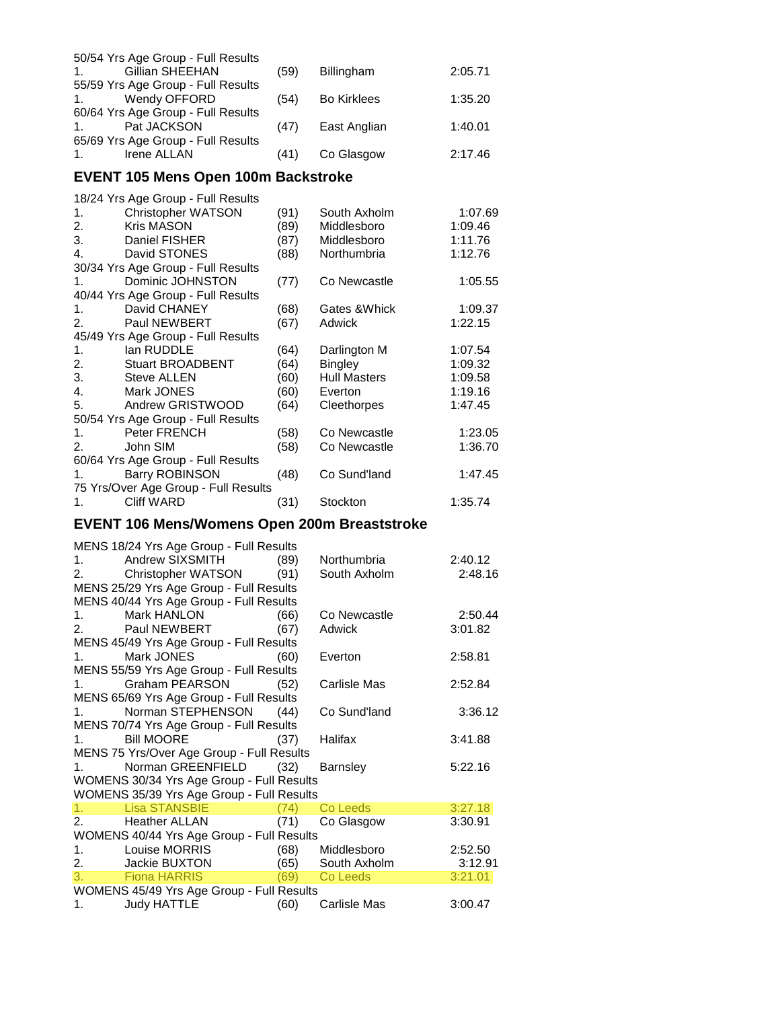|                | 50/54 Yrs Age Group - Full Results |      |                    |         |
|----------------|------------------------------------|------|--------------------|---------|
| $1_{-}$        | Gillian SHEEHAN                    | (59) | <b>Billingham</b>  | 2:05.71 |
|                | 55/59 Yrs Age Group - Full Results |      |                    |         |
| 1.             | Wendy OFFORD                       | (54) | <b>Bo Kirklees</b> | 1:35.20 |
|                | 60/64 Yrs Age Group - Full Results |      |                    |         |
| $\mathbf 1$    | Pat JACKSON                        | (47) | East Anglian       | 1:40.01 |
|                | 65/69 Yrs Age Group - Full Results |      |                    |         |
| 1 <sup>1</sup> | Irene ALLAN                        | (41) | Co Glasgow         | 2:17.46 |
|                |                                    |      |                    |         |

### **EVENT 105 Mens Open 100m Backstroke**

|                | 18/24 Yrs Age Group - Full Results   |      |                     |         |
|----------------|--------------------------------------|------|---------------------|---------|
| 1.             | <b>Christopher WATSON</b>            | (91) | South Axholm        | 1:07.69 |
| 2.             | <b>Kris MASON</b>                    | (89) | Middlesboro         | 1:09.46 |
| 3.             | Daniel FISHER                        | (87) | Middlesboro         | 1:11.76 |
| 4.             | David STONES                         | (88) | Northumbria         | 1:12.76 |
|                | 30/34 Yrs Age Group - Full Results   |      |                     |         |
| $1_{-}$        | Dominic JOHNSTON                     | (77) | Co Newcastle        | 1:05.55 |
|                | 40/44 Yrs Age Group - Full Results   |      |                     |         |
| 1.             | David CHANEY                         | (68) | Gates & Whick       | 1:09.37 |
| 2.             | <b>Paul NEWBERT</b>                  | (67) | Adwick              | 1:22.15 |
|                | 45/49 Yrs Age Group - Full Results   |      |                     |         |
| 1.             | lan RUDDLE                           | (64) | Darlington M        | 1:07.54 |
| 2.             | <b>Stuart BROADBENT</b>              | (64) | <b>Bingley</b>      | 1:09.32 |
| 3.             | <b>Steve ALLEN</b>                   | (60) | <b>Hull Masters</b> | 1:09.58 |
| 4.             | Mark JONES                           | (60) | Everton             | 1:19.16 |
| 5.             | Andrew GRISTWOOD                     | (64) | Cleethorpes         | 1:47.45 |
|                | 50/54 Yrs Age Group - Full Results   |      |                     |         |
| $\mathbf{1}$ . | <b>Peter FRENCH</b>                  | (58) | Co Newcastle        | 1:23.05 |
| 2.             | John SIM                             | (58) | Co Newcastle        | 1:36.70 |
|                | 60/64 Yrs Age Group - Full Results   |      |                     |         |
| 1.             | <b>Barry ROBINSON</b>                | (48) | Co Sund'land        | 1:47.45 |
|                | 75 Yrs/Over Age Group - Full Results |      |                     |         |
| 1.             | <b>Cliff WARD</b>                    | (31) | Stockton            | 1:35.74 |

## **EVENT 106 Mens/Womens Open 200m Breaststroke**

| MENS 18/24 Yrs Age Group - Full Results    |      |                               |         |
|--------------------------------------------|------|-------------------------------|---------|
| 1. Andrew SIXSMITH (89)                    |      | Northumbria                   | 2:40.12 |
| 2. Christopher WATSON (91)                 |      | South Axholm                  | 2:48.16 |
| MENS 25/29 Yrs Age Group - Full Results    |      |                               |         |
| MENS 40/44 Yrs Age Group - Full Results    |      |                               |         |
| 1. Mark HANLON                             | (66) | Co Newcastle                  | 2:50.44 |
| Paul NEWBERT<br>2.                         | (67) | <b>Adwick</b>                 | 3:01.82 |
| MENS 45/49 Yrs Age Group - Full Results    |      |                               |         |
| Mark JONES National Services<br>1.11       | (60) | Everton                       | 2:58.81 |
| MENS 55/59 Yrs Age Group - Full Results    |      |                               |         |
| 1. Graham PEARSON (52)                     |      | Carlisle Mas                  | 2:52.84 |
| MENS 65/69 Yrs Age Group - Full Results    |      |                               |         |
| 1. Norman STEPHENSON (44)                  |      | Co Sund'land                  | 3:36.12 |
| MENS 70/74 Yrs Age Group - Full Results    |      |                               |         |
| <b>Bill MOORE</b><br>$1.$ $\sim$           | (37) | Halifax                       | 3:41.88 |
| MENS 75 Yrs/Over Age Group - Full Results  |      |                               |         |
| 1. Norman GREENFIELD (32)                  |      | Barnsley                      | 5:22.16 |
| WOMENS 30/34 Yrs Age Group - Full Results  |      |                               |         |
| WOMENS 35/39 Yrs Age Group - Full Results  |      |                               |         |
| 1. Lisa STANSBIE                           | (74) | Co Leeds                      | 3:27.18 |
| 2. Heather ALLAN                           | (71) | Co Glasgow                    | 3:30.91 |
| WOMENS 40/44 Yrs Age Group - Full Results  |      |                               |         |
| 1. Louise MORRIS                           | (68) | Middlesboro                   | 2:52.50 |
| 2. Jackie BUXTON (65) South Axholm 3:12.91 |      |                               |         |
| 3. Fiona HARRIS (69)                       |      | <b>Co Leeds Communication</b> | 3:21.01 |
| WOMENS 45/49 Yrs Age Group - Full Results  |      |                               |         |
| 1. Judy HATTLE<br>(60)                     |      | Carlisle Mas                  | 3:00.47 |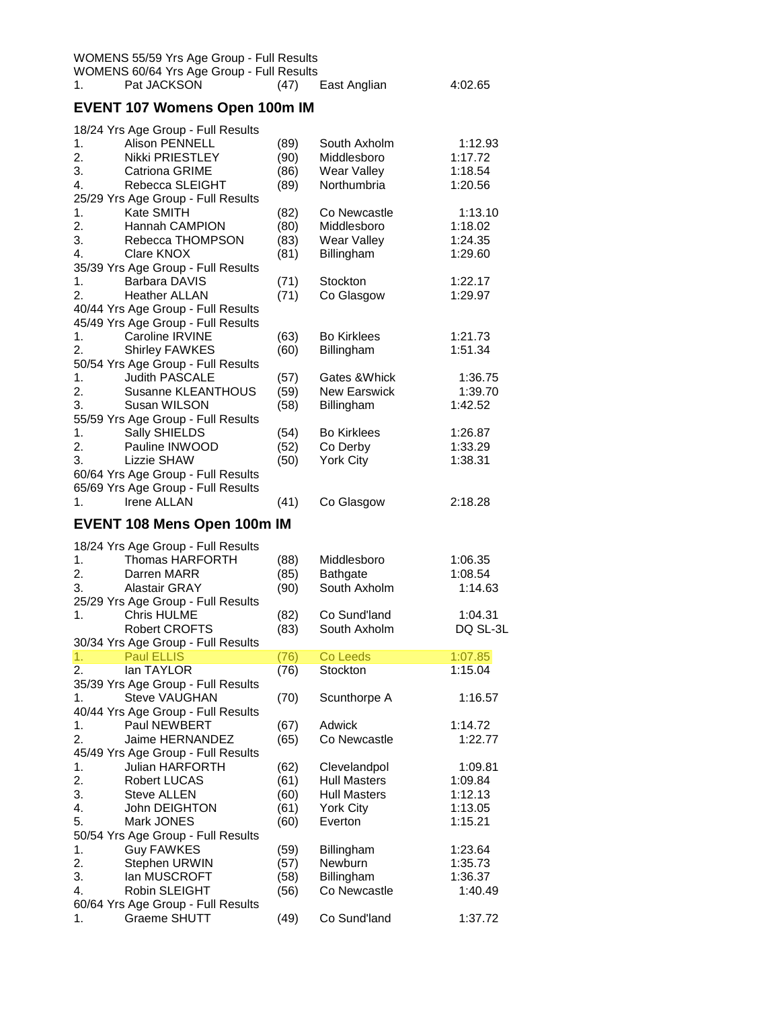| $\mathbf{1}$ . | Pat JACKSON                          | (47)  | East Anglian      | 4:02.65                                         |
|----------------|--------------------------------------|-------|-------------------|-------------------------------------------------|
|                | <b>EVENT 107 Womens Open 100m IM</b> |       |                   |                                                 |
|                | 18/24 Yrs Age Group - Full Results   |       |                   |                                                 |
| $1_{-}$        | <b>Alison PENNELL</b>                | (89)  | South Axholm      | 1:12.93                                         |
| 2.             | Nikki PRIESTLEY                      | (90)  | Middlesboro       | 1:17.72                                         |
| $\sim$         | $O_{\text{min}} = O \cap \text{MIP}$ | (0.0) | $M_{2} = 11 - 11$ | $\lambda$ , $\lambda$ $\cap$ $\Gamma$ $\lambda$ |

| 3.             | <b>Catriona GRIME</b>              | (86) | Wear Valley         | 1:18.54  |
|----------------|------------------------------------|------|---------------------|----------|
| 4.             | Rebecca SLEIGHT                    | (89) | Northumbria         | 1:20.56  |
|                | 25/29 Yrs Age Group - Full Results |      |                     |          |
| 1.             | Kate SMITH                         | (82) | Co Newcastle        | 1:13.10  |
| 2.             | Hannah CAMPION                     | (80) | Middlesboro         | 1:18.02  |
| 3.             | Rebecca THOMPSON                   | (83) | Wear Valley         | 1:24.35  |
| 4.             | Clare KNOX                         | (81) | Billingham          | 1:29.60  |
|                | 35/39 Yrs Age Group - Full Results |      |                     |          |
| 1.             | Barbara DAVIS                      | (71) | Stockton            | 1:22.17  |
| 2.             | <b>Heather ALLAN</b>               | (71) | Co Glasgow          | 1:29.97  |
|                | 40/44 Yrs Age Group - Full Results |      |                     |          |
|                |                                    |      |                     |          |
|                | 45/49 Yrs Age Group - Full Results |      |                     |          |
| 1.             | Caroline IRVINE                    | (63) | <b>Bo Kirklees</b>  | 1:21.73  |
| 2.             | Shirley FAWKES                     | (60) | Billingham          | 1:51.34  |
|                | 50/54 Yrs Age Group - Full Results |      |                     |          |
| 1.             | <b>Judith PASCALE</b>              | (57) | Gates & Whick       | 1:36.75  |
| 2.             | Susanne KLEANTHOUS                 | (59) | <b>New Earswick</b> | 1:39.70  |
| 3.             | Susan WILSON                       | (58) | Billingham          | 1:42.52  |
|                | 55/59 Yrs Age Group - Full Results |      |                     |          |
| 1.             | Sally SHIELDS                      | (54) | <b>Bo Kirklees</b>  | 1:26.87  |
| 2.             | Pauline INWOOD                     | (52) | Co Derby            | 1:33.29  |
| 3.             | <b>Lizzie SHAW</b>                 | (50) | York City           | 1:38.31  |
|                | 60/64 Yrs Age Group - Full Results |      |                     |          |
|                | 65/69 Yrs Age Group - Full Results |      |                     |          |
| 1 <sub>1</sub> | <b>Irene ALLAN</b>                 | (41) | Co Glasgow          | 2:18.28  |
|                |                                    |      |                     |          |
|                | <b>EVENT 108 Mens Open 100m IM</b> |      |                     |          |
|                |                                    |      |                     |          |
|                | 18/24 Yrs Age Group - Full Results |      |                     |          |
| 1.             | Thomas HARFORTH                    | (88) | Middlesboro         | 1:06.35  |
| 2.             | Darren MARR                        | (85) | <b>Bathgate</b>     | 1:08.54  |
| 3.             | <b>Alastair GRAY</b>               | (90) | South Axholm        | 1:14.63  |
|                | 25/29 Yrs Age Group - Full Results |      |                     |          |
| 1.             | <b>Chris HULME</b>                 | (82) | Co Sund'land        | 1:04.31  |
|                | <b>Robert CROFTS</b>               | (83) | South Axholm        | DQ SL-3L |
|                | 30/34 Yrs Age Group - Full Results |      |                     |          |
| 1.             | <b>Paul ELLIS</b>                  | (76) | Co Leeds            | 1:07.85  |
| 2.             | lan TAYLOR                         | (76) | Stockton            | 1:15.04  |
|                | 35/39 Yrs Age Group - Full Results |      |                     |          |
| 1.             | <b>Steve VAUGHAN</b>               | (70) | Scunthorpe A        | 1:16.57  |
|                | 40/44 Yrs Age Group - Full Results |      |                     |          |
| 1.             | Paul NEWBERT                       | (67) | <b>Adwick</b>       | 1:14.72  |
| 2.             | Jaime HERNANDEZ                    | (65) | Co Newcastle        | 1:22.77  |
|                | 45/49 Yrs Age Group - Full Results |      |                     |          |
| 1.             | <b>Julian HARFORTH</b>             | (62) | Clevelandpol        | 1:09.81  |
| 2.             | Robert LUCAS                       | (61) | <b>Hull Masters</b> | 1:09.84  |
| 3.             | <b>Steve ALLEN</b>                 | (60) | <b>Hull Masters</b> | 1:12.13  |
| 4.             | John DEIGHTON                      | (61) | <b>York City</b>    | 1:13.05  |
| 5.             | Mark JONES                         | (60) | Everton             | 1:15.21  |
|                | 50/54 Yrs Age Group - Full Results |      |                     |          |
|                |                                    |      |                     |          |
| 1.             | <b>Guy FAWKES</b>                  | (59) | Billingham          | 1:23.64  |
| 2.             | Stephen URWIN                      | (57) | Newburn             | 1:35.73  |
| 3.             | lan MUSCROFT                       | (58) | Billingham          | 1:36.37  |
| 4.             | Robin SLEIGHT                      | (56) | Co Newcastle        | 1:40.49  |
|                | 60/64 Yrs Age Group - Full Results |      |                     |          |
| 1.             | Graeme SHUTT                       | (49) | Co Sund'land        | 1:37.72  |
|                |                                    |      |                     |          |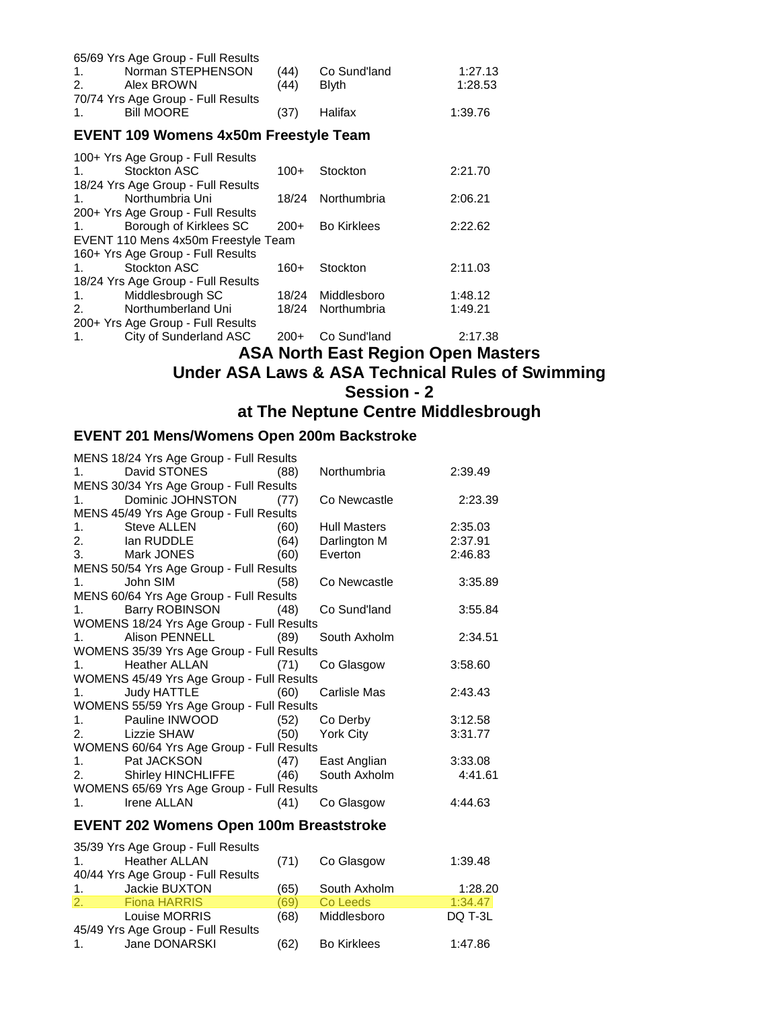| 65/69 Yrs Age Group - Full Results<br>Norman STEPHENSON<br>1.<br>Alex BROWN<br>2.<br>70/74 Yrs Age Group - Full Results | (44)<br>(44) | Co Sund'land<br><b>Blyth</b> | 1:27.13<br>1:28.53 |
|-------------------------------------------------------------------------------------------------------------------------|--------------|------------------------------|--------------------|
| <b>Bill MOORE</b><br>1.                                                                                                 | (37)         | Halifax                      | 1:39.76            |
| <b>EVENT 109 Womens 4x50m Freestyle Team</b>                                                                            |              |                              |                    |
| 100+ Yrs Age Group - Full Results                                                                                       |              |                              |                    |
| Stockton ASC<br>1.                                                                                                      | $100+$       | Stockton                     | 2:21.70            |
| 18/24 Yrs Age Group - Full Results                                                                                      |              |                              |                    |
| Northumbria Uni<br>1.                                                                                                   | 18/24        | Northumbria                  | 2:06.21            |
| 200+ Yrs Age Group - Full Results                                                                                       |              |                              |                    |
| Borough of Kirklees SC<br>1.                                                                                            | $200+$       | <b>Bo Kirklees</b>           | 2:22.62            |
| EVENT 110 Mens 4x50m Freestyle Team                                                                                     |              |                              |                    |
| 160+ Yrs Age Group - Full Results                                                                                       |              |                              |                    |
| Stockton ASC<br>1.                                                                                                      | 160+         | Stockton                     | 2:11.03            |
| $\sim$ $\sim$ $\sim$ $\sim$ $\sim$                                                                                      |              |                              |                    |

18/24 Yrs Age Group - Full Results<br>1. Middlesbrough SC 1. Middlesbrough SC 18/24 Middlesboro 1:48.12 2. Northumberland Uni 18/24 Northumbria 1:49.21 200+ Yrs Age Group - Full Results

1. City of Sunderland ASC 200+ Co Sund'land 2:17.38

## **ASA North East Region Open Masters Under ASA Laws & ASA Technical Rules of Swimming Session - 2 at The Neptune Centre Middlesbrough**

#### **EVENT 201 Mens/Womens Open 200m Backstroke**

| MENS 18/24 Yrs Age Group - Full Results         |                                                                                     |         |
|-------------------------------------------------|-------------------------------------------------------------------------------------|---------|
| 1. David STONES (88)                            | Northumbria                                                                         | 2:39.49 |
| MENS 30/34 Yrs Age Group - Full Results         |                                                                                     |         |
| 1. Dominic JOHNSTON (77)                        | Co Newcastle <b>Communist Contract Communist Contract Contract Contract Control</b> | 2:23.39 |
| MENS 45/49 Yrs Age Group - Full Results         |                                                                                     |         |
| 1. Steve ALLEN (60)<br>2. Ian RUDDLE (64)       | <b>Hull Masters</b>                                                                 | 2:35.03 |
|                                                 | Darlington M 2:37.91                                                                |         |
| 3. Mark JONES (60)                              | Everton                                                                             | 2:46.83 |
| MENS 50/54 Yrs Age Group - Full Results         |                                                                                     |         |
| 1. John SIM (58)                                | Co Newcastle <b>Communist Communist Communist Communist</b>                         | 3:35.89 |
| MENS 60/64 Yrs Age Group - Full Results         |                                                                                     |         |
| 1. Barry ROBINSON (48) Co Sund'land             |                                                                                     | 3:55.84 |
| WOMENS 18/24 Yrs Age Group - Full Results       |                                                                                     |         |
| 1. Alison PENNELL (89) South Axholm             |                                                                                     | 2:34.51 |
| WOMENS 35/39 Yrs Age Group - Full Results       |                                                                                     |         |
| 1. Heather ALLAN (71) Co Glasgow                |                                                                                     | 3:58.60 |
| WOMENS 45/49 Yrs Age Group - Full Results       |                                                                                     |         |
| 1. Judy HATTLE (60) Carlisle Mas                |                                                                                     | 2:43.43 |
| WOMENS 55/59 Yrs Age Group - Full Results       |                                                                                     |         |
| 1. Pauline INWOOD (52) Co Derby                 |                                                                                     | 3:12.58 |
| 2. Lizzie SHAW (50) York City                   |                                                                                     | 3:31.77 |
| WOMENS 60/64 Yrs Age Group - Full Results       |                                                                                     |         |
| 1. Pat JACKSON (47) East Anglian 3:33.08        |                                                                                     |         |
| 2. Shirley HINCHLIFFE (46) South Axholm 4:41.61 |                                                                                     |         |
| WOMENS 65/69 Yrs Age Group - Full Results       |                                                                                     |         |
| 1. Irene ALLAN (41)                             | Co Glasgow                                                                          | 4:44.63 |
|                                                 |                                                                                     |         |

#### **EVENT 202 Womens Open 100m Breaststroke**

|             | 35/39 Yrs Age Group - Full Results |      |                    |         |
|-------------|------------------------------------|------|--------------------|---------|
| $1_{-}$     | <b>Heather ALLAN</b>               | (71) | Co Glasgow         | 1:39.48 |
|             | 40/44 Yrs Age Group - Full Results |      |                    |         |
| $1_{\cdot}$ | Jackie BUXTON                      | (65) | South Axholm       | 1:28.20 |
| 2.          | <b>Fiona HARRIS</b>                | (69) | Co Leeds           | 1:34.47 |
|             | Louise MORRIS                      | (68) | Middlesboro        | DQ T-3L |
|             | 45/49 Yrs Age Group - Full Results |      |                    |         |
| 1.          | Jane DONARSKI                      | (62) | <b>Bo Kirklees</b> | 1:47.86 |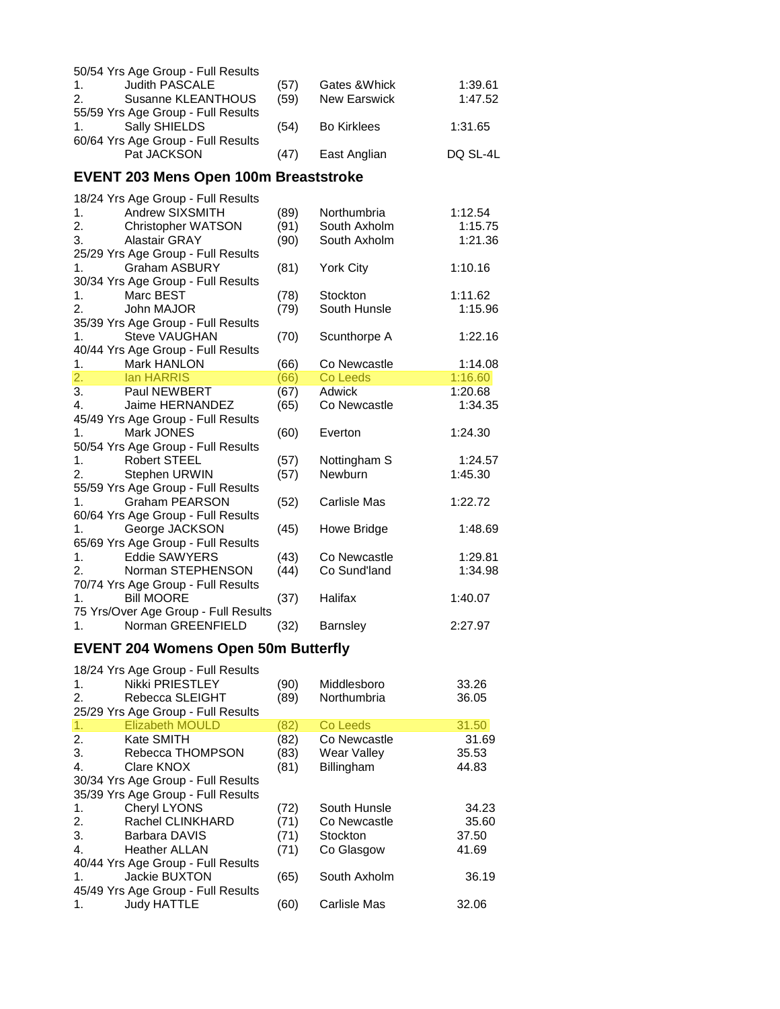|                  | 50/54 Yrs Age Group - Full Results           |      |                          |          |
|------------------|----------------------------------------------|------|--------------------------|----------|
| 1.               | <b>Judith PASCALE</b>                        | (57) | Gates & Whick            | 1:39.61  |
| 2.               | Susanne KLEANTHOUS                           | (59) | <b>New Earswick</b>      | 1:47.52  |
|                  | 55/59 Yrs Age Group - Full Results           |      |                          |          |
| 1.               | Sally SHIELDS                                | (54) | <b>Bo Kirklees</b>       | 1:31.65  |
|                  | 60/64 Yrs Age Group - Full Results           |      |                          |          |
|                  | Pat JACKSON                                  | (47) | East Anglian             | DQ SL-4L |
|                  |                                              |      |                          |          |
|                  | <b>EVENT 203 Mens Open 100m Breaststroke</b> |      |                          |          |
|                  | 18/24 Yrs Age Group - Full Results           |      |                          |          |
| 1.               | Andrew SIXSMITH                              | (89) | Northumbria              | 1:12.54  |
| 2.               |                                              | (91) | South Axholm             | 1:15.75  |
| 3.               | Christopher WATSON<br><b>Alastair GRAY</b>   | (90) |                          | 1:21.36  |
|                  | 25/29 Yrs Age Group - Full Results           |      | South Axholm             |          |
| 1.               | <b>Graham ASBURY</b>                         |      |                          |          |
|                  |                                              | (81) | <b>York City</b>         | 1:10.16  |
|                  | 30/34 Yrs Age Group - Full Results           |      |                          |          |
| 1.               | Marc BEST                                    | (78) | Stockton<br>South Hunsle | 1:11.62  |
| 2.               | John MAJOR                                   | (79) |                          | 1:15.96  |
|                  | 35/39 Yrs Age Group - Full Results           |      |                          |          |
| 1.               | <b>Steve VAUGHAN</b>                         | (70) | Scunthorpe A             | 1:22.16  |
|                  | 40/44 Yrs Age Group - Full Results           |      |                          |          |
| 1.               | Mark HANLON                                  | (66) | Co Newcastle             | 1:14.08  |
| $\overline{2}$ . | lan HARRIS                                   | (66) | Co Leeds                 | 1:16.60  |
| 3.               | Paul NEWBERT                                 | (67) | Adwick                   | 1:20.68  |
| 4.               | Jaime HERNANDEZ                              | (65) | Co Newcastle             | 1:34.35  |
|                  | 45/49 Yrs Age Group - Full Results           |      |                          |          |
| 1.               | Mark JONES                                   | (60) | Everton                  | 1:24.30  |
|                  | 50/54 Yrs Age Group - Full Results           |      |                          |          |
| 1.               | <b>Robert STEEL</b>                          | (57) | Nottingham S             | 1:24.57  |
| 2.               | Stephen URWIN                                | (57) | Newburn                  | 1:45.30  |
|                  | 55/59 Yrs Age Group - Full Results           |      |                          |          |
| 1.               | <b>Graham PEARSON</b>                        | (52) | Carlisle Mas             | 1:22.72  |
|                  | 60/64 Yrs Age Group - Full Results           |      |                          |          |
| 1.               | George JACKSON                               | (45) | Howe Bridge              | 1:48.69  |
|                  | 65/69 Yrs Age Group - Full Results           |      |                          |          |
| 1.               | <b>Eddie SAWYERS</b>                         | (43) | Co Newcastle             | 1:29.81  |
| 2.               | Norman STEPHENSON                            | (44) | Co Sund'land             | 1:34.98  |
|                  | 70/74 Yrs Age Group - Full Results           |      |                          |          |
| 1.               | <b>Bill MOORE</b>                            | (37) | Halifax                  | 1:40.07  |
|                  | 75 Yrs/Over Age Group - Full Results         |      |                          |          |
| 1.               | Norman GREENFIELD                            | (32) | <b>Barnsley</b>          | 2:27.97  |
|                  | <b>EVENT 204 Womens Open 50m Butterfly</b>   |      |                          |          |
|                  |                                              |      |                          |          |
|                  | 18/24 Yrs Age Group - Full Results           |      |                          |          |
| 1.               | Nikki PRIESTLEY                              | (90) | Middlesboro              | 33.26    |
| 2.               | Rebecca SLEIGHT                              | (89) | Northumbria              | 36.05    |
|                  | 25/29 Yrs Age Group - Full Results           |      |                          |          |
| 1.               | <b>Elizabeth MOULD</b>                       | (82) | Co Leeds                 | 31.50    |
| 2.               | Kate SMITH                                   | (82) | Co Newcastle             | 31.69    |
| 3.               | Rebecca THOMPSON                             | (83) | Wear Valley              | 35.53    |
| 4.               | Clare KNOX                                   | (81) | Billingham               | 44.83    |
|                  | 30/34 Yrs Age Group - Full Results           |      |                          |          |
|                  | 35/39 Yrs Age Group - Full Results           |      |                          |          |
| 1.               | Cheryl LYONS                                 | (72) | South Hunsle             | 34.23    |
| 2.               | Rachel CLINKHARD                             | (71) | Co Newcastle             | 35.60    |
| 3.               | <b>Barbara DAVIS</b>                         | (71) | Stockton                 | 37.50    |

|                | 30/34 TIS Age Gloup - Full Results |      |              |       |
|----------------|------------------------------------|------|--------------|-------|
|                | 35/39 Yrs Age Group - Full Results |      |              |       |
| $1_{\cdot}$    | Cheryl LYONS                       | (72) | South Hunsle | 34.23 |
| 2.             | Rachel CLINKHARD                   | (71) | Co Newcastle | 35.60 |
| 3.             | Barbara DAVIS                      | (71) | Stockton     | 37.50 |
| $\mathbf{4}$ . | <b>Heather ALLAN</b>               | (71) | Co Glasgow   | 41.69 |
|                | 40/44 Yrs Age Group - Full Results |      |              |       |
| $\mathbf{1}$ . | Jackie BUXTON                      | (65) | South Axholm | 36.19 |
|                | 45/49 Yrs Age Group - Full Results |      |              |       |
| 1.             | <b>Judy HATTLE</b>                 | (60  | Carlisle Mas | 32.06 |
|                |                                    |      |              |       |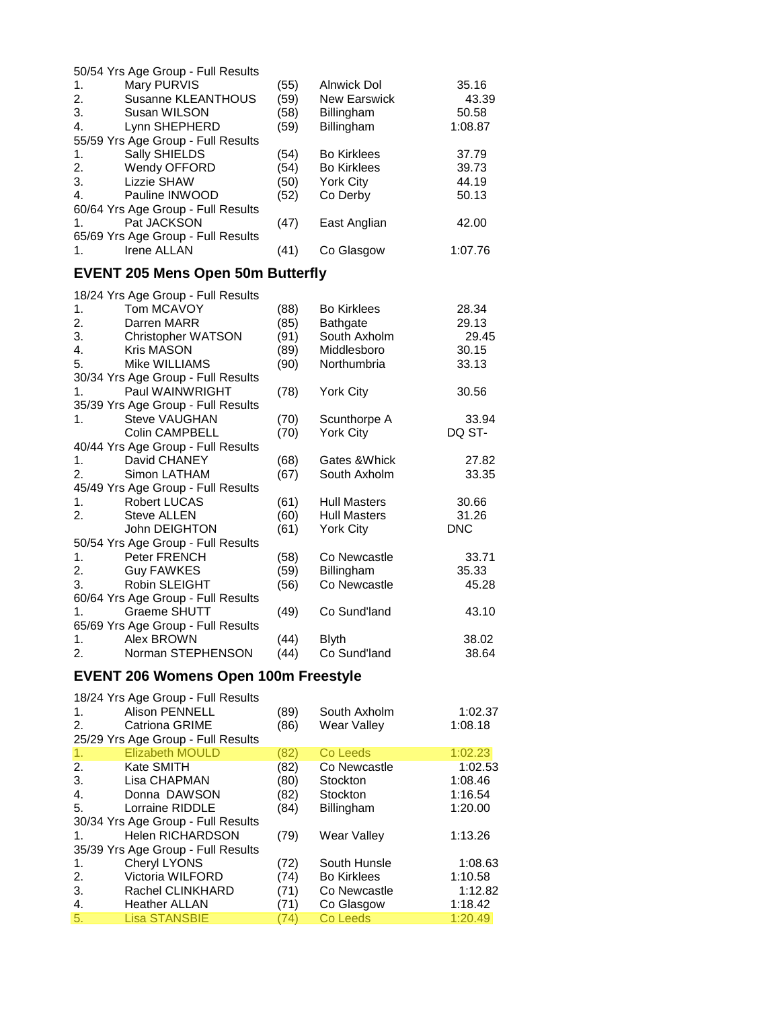| 50/54 Yrs Age Group - Full Results       |      |                     |            |
|------------------------------------------|------|---------------------|------------|
| 1.<br>Mary PURVIS                        | (55) | <b>Alnwick Dol</b>  | 35.16      |
| 2.<br>Susanne KLEANTHOUS                 | (59) | <b>New Earswick</b> | 43.39      |
| 3.<br>Susan WILSON                       | (58) | Billingham          | 50.58      |
| 4.<br>Lynn SHEPHERD                      | (59) | Billingham          | 1:08.87    |
| 55/59 Yrs Age Group - Full Results       |      |                     |            |
| 1.<br>Sally SHIELDS                      | (54) | <b>Bo Kirklees</b>  | 37.79      |
| 2.<br>Wendy OFFORD                       | (54) | <b>Bo Kirklees</b>  | 39.73      |
| 3.<br>Lizzie SHAW                        | (50) | <b>York City</b>    | 44.19      |
| Pauline INWOOD<br>4.                     | (52) | Co Derby            | 50.13      |
| 60/64 Yrs Age Group - Full Results       |      |                     |            |
| Pat JACKSON<br>1.                        | (47) | East Anglian        | 42.00      |
| 65/69 Yrs Age Group - Full Results       |      |                     |            |
| <b>Irene ALLAN</b>                       |      |                     |            |
| 1.                                       | (41) | Co Glasgow          | 1:07.76    |
| <b>EVENT 205 Mens Open 50m Butterfly</b> |      |                     |            |
| 18/24 Yrs Age Group - Full Results       |      |                     |            |
| Tom MCAVOY<br>1.                         | (88) | <b>Bo Kirklees</b>  | 28.34      |
| 2.<br>Darren MARR                        | (85) | <b>Bathgate</b>     | 29.13      |
| 3.<br><b>Christopher WATSON</b>          | (91) | South Axholm        | 29.45      |
| 4.<br><b>Kris MASON</b>                  | (89) | Middlesboro         | 30.15      |
| 5.<br>Mike WILLIAMS                      | (90) | Northumbria         | 33.13      |
| 30/34 Yrs Age Group - Full Results       |      |                     |            |
| Paul WAINWRIGHT<br>1.                    | (78) | <b>York City</b>    | 30.56      |
| 35/39 Yrs Age Group - Full Results       |      |                     |            |
| 1.<br><b>Steve VAUGHAN</b>               | (70) | Scunthorpe A        | 33.94      |
| <b>Colin CAMPBELL</b>                    | (70) | <b>York City</b>    | DQ ST-     |
| 40/44 Yrs Age Group - Full Results       |      |                     |            |
| David CHANEY<br>1.                       | (68) | Gates & Whick       | 27.82      |
| 2.<br>Simon LATHAM                       | (67) | South Axholm        | 33.35      |
| 45/49 Yrs Age Group - Full Results       |      |                     |            |
| 1.<br><b>Robert LUCAS</b>                | (61) | <b>Hull Masters</b> | 30.66      |
| 2.<br><b>Steve ALLEN</b>                 | (60) | <b>Hull Masters</b> | 31.26      |
|                                          | (61) |                     | <b>DNC</b> |
| John DEIGHTON                            |      | York City           |            |
| 50/54 Yrs Age Group - Full Results       |      |                     |            |
| 1.<br>Peter FRENCH                       | (58) | Co Newcastle        | 33.71      |
| 2.<br><b>Guy FAWKES</b>                  | (59) | Billingham          | 35.33      |
| Robin SLEIGHT<br>3.                      | (56) | Co Newcastle        | 45.28      |
| 60/64 Yrs Age Group - Full Results       |      |                     |            |
| Graeme SHUTT<br>1.                       | (49) | Co Sund'land        | 43.10      |
| 65/69 Yrs Age Group - Full Results       |      |                     |            |
| 1.<br>Alex BROWN                         | (44) | <b>Blyth</b>        | 38.02      |
| 2.<br>Norman STEPHENSON                  | (44) | Co Sund'land        | 38.64      |
|                                          |      |                     |            |

# **EVENT 206 Womens Open 100m Freestyle**

| 1.<br>2. | 18/24 Yrs Age Group - Full Results<br><b>Alison PENNELL</b><br><b>Catriona GRIME</b><br>25/29 Yrs Age Group - Full Results | (89)<br>(86) | South Axholm<br><b>Wear Valley</b> | 1:02.37<br>1:08.18 |
|----------|----------------------------------------------------------------------------------------------------------------------------|--------------|------------------------------------|--------------------|
| 1.       | <b>Elizabeth MOULD</b>                                                                                                     | (82)         | Co Leeds                           | 1:02.23            |
| 2.       | Kate SMITH                                                                                                                 | (82)         | Co Newcastle                       | 1:02.53            |
| 3.       | Lisa CHAPMAN                                                                                                               | (80)         | Stockton                           | 1:08.46            |
| 4.       | Donna DAWSON                                                                                                               | (82)         | Stockton                           | 1:16.54            |
| 5.       | Lorraine RIDDLE                                                                                                            | (84)         | <b>Billingham</b>                  | 1:20.00            |
|          | 30/34 Yrs Age Group - Full Results                                                                                         |              |                                    |                    |
| 1.       | <b>Helen RICHARDSON</b>                                                                                                    | (79)         | <b>Wear Valley</b>                 | 1:13.26            |
|          | 35/39 Yrs Age Group - Full Results                                                                                         |              |                                    |                    |
| 1.       | <b>Cheryl LYONS</b>                                                                                                        | (72)         | South Hunsle                       | 1:08.63            |
| 2.       | Victoria WILFORD                                                                                                           | (74)         | <b>Bo Kirklees</b>                 | 1:10.58            |
| 3.       | Rachel CLINKHARD                                                                                                           | (71)         | Co Newcastle                       | 1:12.82            |
| 4.       | <b>Heather ALLAN</b>                                                                                                       | (71)         | Co Glasgow                         | 1:18.42            |
| 5.       | <b>Lisa STANSBIE</b>                                                                                                       | (74)         | Co Leeds                           | 1:20.49            |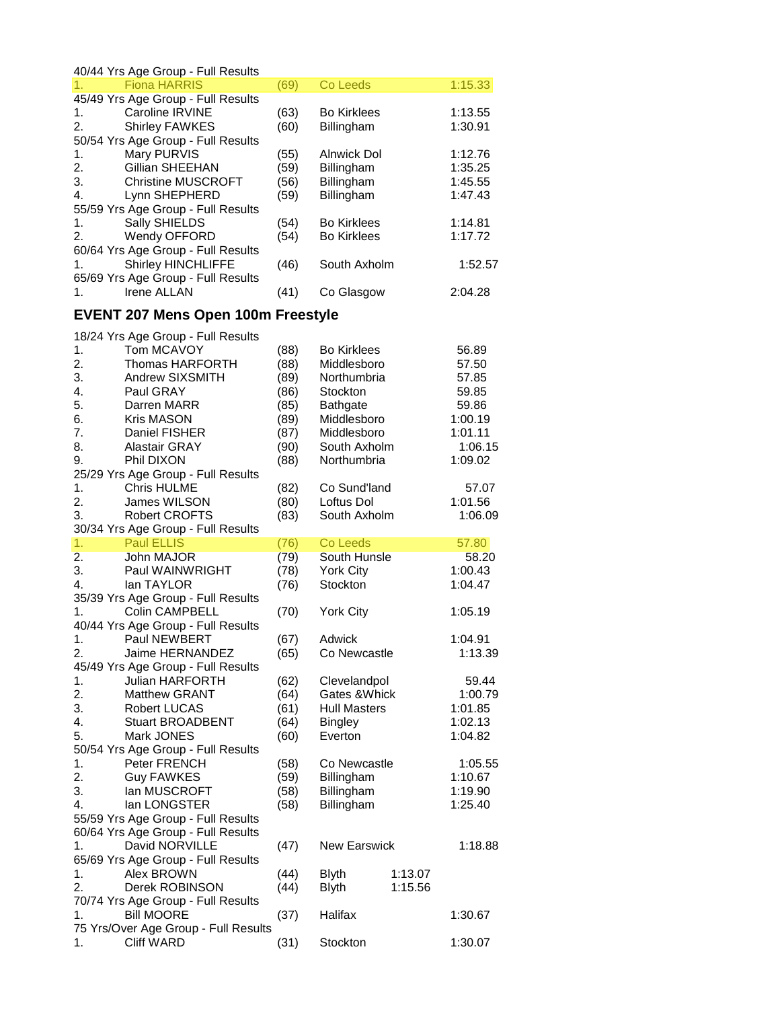|    | 40/44 Yrs Age Group - Full Results        |      |                     |         |         |
|----|-------------------------------------------|------|---------------------|---------|---------|
| 1. | <b>Fiona HARRIS</b>                       | (69) | Co Leeds            |         | 1:15.33 |
|    | 45/49 Yrs Age Group - Full Results        |      |                     |         |         |
| 1. | Caroline IRVINE                           | (63) | <b>Bo Kirklees</b>  |         | 1:13.55 |
|    |                                           | (60) |                     |         |         |
| 2. | <b>Shirley FAWKES</b>                     |      | Billingham          |         | 1:30.91 |
|    | 50/54 Yrs Age Group - Full Results        |      |                     |         |         |
| 1. | Mary PURVIS                               | (55) | <b>Alnwick Dol</b>  |         | 1:12.76 |
| 2. | Gillian SHEEHAN                           | (59) | Billingham          |         | 1:35.25 |
| 3. | <b>Christine MUSCROFT</b>                 | (56) | Billingham          |         | 1:45.55 |
| 4. | Lynn SHEPHERD                             | (59) | Billingham          |         | 1:47.43 |
|    | 55/59 Yrs Age Group - Full Results        |      |                     |         |         |
| 1. | Sally SHIELDS                             | (54) | <b>Bo Kirklees</b>  |         | 1:14.81 |
| 2. | Wendy OFFORD                              | (54) | <b>Bo Kirklees</b>  |         | 1:17.72 |
|    | 60/64 Yrs Age Group - Full Results        |      |                     |         |         |
| 1. | <b>Shirley HINCHLIFFE</b>                 | (46) | South Axholm        |         | 1:52.57 |
|    | 65/69 Yrs Age Group - Full Results        |      |                     |         |         |
| 1. | <b>Irene ALLAN</b>                        | (41) | Co Glasgow          |         | 2:04.28 |
|    |                                           |      |                     |         |         |
|    | <b>EVENT 207 Mens Open 100m Freestyle</b> |      |                     |         |         |
|    | 18/24 Yrs Age Group - Full Results        |      |                     |         |         |
| 1. | Tom MCAVOY                                | (88) | <b>Bo Kirklees</b>  |         | 56.89   |
| 2. | <b>Thomas HARFORTH</b>                    | (88) | Middlesboro         |         | 57.50   |
| 3. | Andrew SIXSMITH                           | (89) | Northumbria         |         | 57.85   |
| 4. | Paul GRAY                                 | (86) | Stockton            |         | 59.85   |
| 5. | Darren MARR                               | (85) |                     |         |         |
|    |                                           |      | <b>Bathgate</b>     |         | 59.86   |
| 6. | <b>Kris MASON</b>                         | (89) | Middlesboro         |         | 1:00.19 |
| 7. | Daniel FISHER                             | (87) | Middlesboro         |         | 1:01.11 |
| 8. | <b>Alastair GRAY</b>                      | (90) | South Axholm        |         | 1:06.15 |
| 9. | Phil DIXON                                | (88) | Northumbria         |         | 1:09.02 |
|    | 25/29 Yrs Age Group - Full Results        |      |                     |         |         |
| 1. | <b>Chris HULME</b>                        | (82) | Co Sund'land        |         | 57.07   |
| 2. | James WILSON                              | (80) | Loftus Dol          |         | 1:01.56 |
| 3. | <b>Robert CROFTS</b>                      | (83) | South Axholm        |         | 1:06.09 |
|    | 30/34 Yrs Age Group - Full Results        |      |                     |         |         |
| 1. | <b>Paul ELLIS</b>                         | (76) | Co Leeds            |         | 57.80   |
| 2. | John MAJOR                                | (79) | South Hunsle        |         | 58.20   |
| 3. | Paul WAINWRIGHT                           | (78) | York City           |         | 1:00.43 |
| 4. | lan TAYLOR                                | (76) | Stockton            |         | 1:04.47 |
|    | 35/39 Yrs Age Group - Full Results        |      |                     |         |         |
| 1. | <b>Colin CAMPBELL</b>                     | (70) | <b>York City</b>    |         | 1:05.19 |
|    | 40/44 Yrs Age Group - Full Results        |      |                     |         |         |
| 1. | Paul NEWBERT                              | (67) | Adwick              |         | 1:04.91 |
| 2. | Jaime HERNANDEZ                           | (65) | Co Newcastle        |         | 1:13.39 |
|    | 45/49 Yrs Age Group - Full Results        |      |                     |         |         |
| 1. | <b>Julian HARFORTH</b>                    | (62) | Clevelandpol        |         | 59.44   |
| 2. | <b>Matthew GRANT</b>                      | (64) | Gates & Whick       |         | 1:00.79 |
| 3. | <b>Robert LUCAS</b>                       | (61) | <b>Hull Masters</b> |         | 1:01.85 |
| 4. | <b>Stuart BROADBENT</b>                   | (64) | <b>Bingley</b>      |         | 1:02.13 |
| 5. | Mark JONES                                | (60) | Everton             |         | 1:04.82 |
|    |                                           |      |                     |         |         |
|    | 50/54 Yrs Age Group - Full Results        |      |                     |         |         |
| 1. | Peter FRENCH                              | (58) | Co Newcastle        |         | 1:05.55 |
| 2. | <b>Guy FAWKES</b>                         | (59) | Billingham          |         | 1:10.67 |
| 3. | lan MUSCROFT                              | (58) | Billingham          |         | 1:19.90 |
| 4. | lan LONGSTER                              | (58) | Billingham          |         | 1:25.40 |
|    | 55/59 Yrs Age Group - Full Results        |      |                     |         |         |
|    | 60/64 Yrs Age Group - Full Results        |      |                     |         |         |
| 1. | David NORVILLE                            | (47) | <b>New Earswick</b> |         | 1:18.88 |
|    | 65/69 Yrs Age Group - Full Results        |      |                     |         |         |
| 1. | Alex BROWN                                | (44) | <b>Blyth</b>        | 1:13.07 |         |
| 2. | Derek ROBINSON                            | (44) | <b>Blyth</b>        | 1:15.56 |         |
|    | 70/74 Yrs Age Group - Full Results        |      |                     |         |         |
| 1. | <b>Bill MOORE</b>                         | (37) | Halifax             |         | 1:30.67 |
|    | 75 Yrs/Over Age Group - Full Results      |      |                     |         |         |
| 1. | <b>Cliff WARD</b>                         | (31) | Stockton            |         | 1:30.07 |
|    |                                           |      |                     |         |         |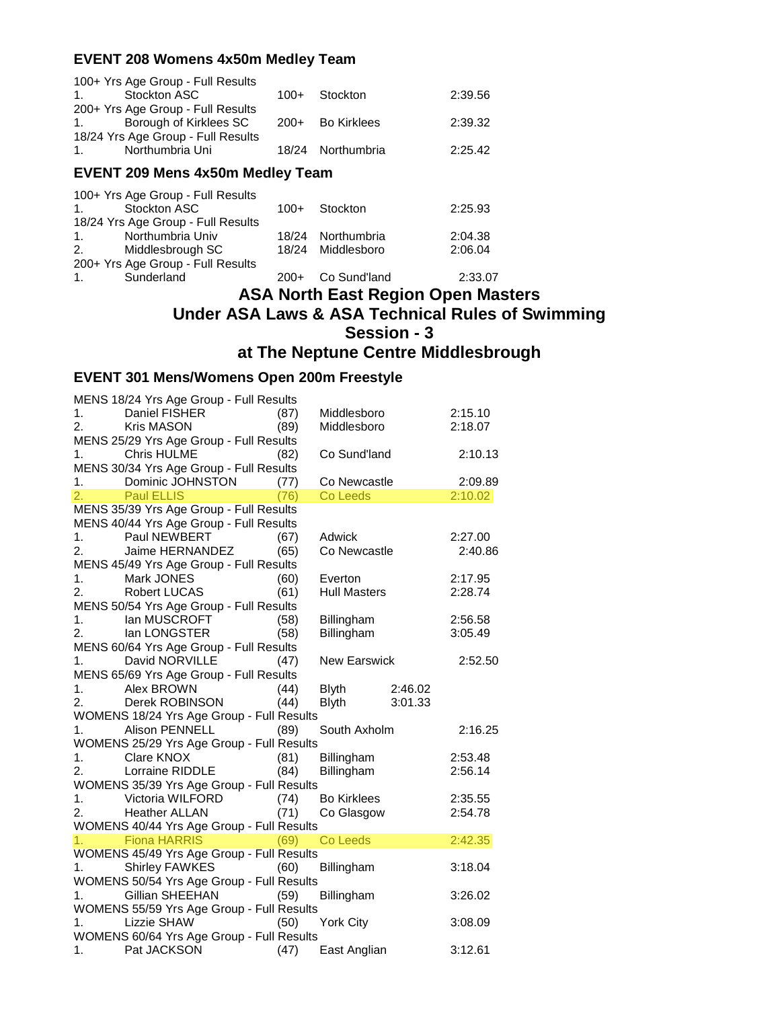#### **EVENT 208 Womens 4x50m Medley Team**

| <b>EVENT 209 Mens 4x50m Medley Team</b> |        |                   |         |  |
|-----------------------------------------|--------|-------------------|---------|--|
| Northumbria Uni<br>1 <sup>1</sup>       |        | 18/24 Northumbria | 2:25.42 |  |
| 18/24 Yrs Age Group - Full Results      |        |                   |         |  |
| Borough of Kirklees SC<br>1.            |        | 200+ Bo Kirklees  | 2:39.32 |  |
| 200+ Yrs Age Group - Full Results       |        |                   |         |  |
| Stockton ASC<br>$\mathbf 1$             | $100+$ | Stockton          | 2:39.56 |  |
| 100+ Yrs Age Group - Full Results       |        |                   |         |  |

| 100+ Yrs Age Group - Full Results  |        |                   |         |
|------------------------------------|--------|-------------------|---------|
| Stockton ASC<br>1 <sup>1</sup>     | $100+$ | Stockton          | 2:25.93 |
| 18/24 Yrs Age Group - Full Results |        |                   |         |
| Northumbria Univ<br>1.             |        | 18/24 Northumbria | 2:04.38 |
| Middlesbrough SC<br>2.             |        | 18/24 Middlesboro | 2:06.04 |
| 200+ Yrs Age Group - Full Results  |        |                   |         |

1. Sunderland 200+ Co Sund'land 2:33.07

## **ASA North East Region Open Masters Under ASA Laws & ASA Technical Rules of Swimming Session - 3 at The Neptune Centre Middlesbrough**

### **EVENT 301 Mens/Womens Open 200m Freestyle**

|                        |                                                                                                                                                                                                                                                                                                                                                                                                                                                                                                                                                                                                                            |                                                                                                                                                                                                                                                                                                                                                                                                                                                                                                                                                                       | 2:15.10                                                                                                                                                                                            |
|------------------------|----------------------------------------------------------------------------------------------------------------------------------------------------------------------------------------------------------------------------------------------------------------------------------------------------------------------------------------------------------------------------------------------------------------------------------------------------------------------------------------------------------------------------------------------------------------------------------------------------------------------------|-----------------------------------------------------------------------------------------------------------------------------------------------------------------------------------------------------------------------------------------------------------------------------------------------------------------------------------------------------------------------------------------------------------------------------------------------------------------------------------------------------------------------------------------------------------------------|----------------------------------------------------------------------------------------------------------------------------------------------------------------------------------------------------|
|                        |                                                                                                                                                                                                                                                                                                                                                                                                                                                                                                                                                                                                                            |                                                                                                                                                                                                                                                                                                                                                                                                                                                                                                                                                                       | 2:18.07                                                                                                                                                                                            |
|                        |                                                                                                                                                                                                                                                                                                                                                                                                                                                                                                                                                                                                                            |                                                                                                                                                                                                                                                                                                                                                                                                                                                                                                                                                                       |                                                                                                                                                                                                    |
|                        |                                                                                                                                                                                                                                                                                                                                                                                                                                                                                                                                                                                                                            |                                                                                                                                                                                                                                                                                                                                                                                                                                                                                                                                                                       | 2:10.13                                                                                                                                                                                            |
|                        |                                                                                                                                                                                                                                                                                                                                                                                                                                                                                                                                                                                                                            |                                                                                                                                                                                                                                                                                                                                                                                                                                                                                                                                                                       |                                                                                                                                                                                                    |
|                        |                                                                                                                                                                                                                                                                                                                                                                                                                                                                                                                                                                                                                            |                                                                                                                                                                                                                                                                                                                                                                                                                                                                                                                                                                       | 2:09.89                                                                                                                                                                                            |
|                        |                                                                                                                                                                                                                                                                                                                                                                                                                                                                                                                                                                                                                            |                                                                                                                                                                                                                                                                                                                                                                                                                                                                                                                                                                       | 2:10.02                                                                                                                                                                                            |
|                        |                                                                                                                                                                                                                                                                                                                                                                                                                                                                                                                                                                                                                            |                                                                                                                                                                                                                                                                                                                                                                                                                                                                                                                                                                       |                                                                                                                                                                                                    |
|                        |                                                                                                                                                                                                                                                                                                                                                                                                                                                                                                                                                                                                                            |                                                                                                                                                                                                                                                                                                                                                                                                                                                                                                                                                                       |                                                                                                                                                                                                    |
|                        |                                                                                                                                                                                                                                                                                                                                                                                                                                                                                                                                                                                                                            |                                                                                                                                                                                                                                                                                                                                                                                                                                                                                                                                                                       |                                                                                                                                                                                                    |
|                        |                                                                                                                                                                                                                                                                                                                                                                                                                                                                                                                                                                                                                            |                                                                                                                                                                                                                                                                                                                                                                                                                                                                                                                                                                       | 2:27.00                                                                                                                                                                                            |
|                        |                                                                                                                                                                                                                                                                                                                                                                                                                                                                                                                                                                                                                            |                                                                                                                                                                                                                                                                                                                                                                                                                                                                                                                                                                       | 2:40.86                                                                                                                                                                                            |
|                        |                                                                                                                                                                                                                                                                                                                                                                                                                                                                                                                                                                                                                            |                                                                                                                                                                                                                                                                                                                                                                                                                                                                                                                                                                       |                                                                                                                                                                                                    |
|                        |                                                                                                                                                                                                                                                                                                                                                                                                                                                                                                                                                                                                                            |                                                                                                                                                                                                                                                                                                                                                                                                                                                                                                                                                                       | 2:17.95                                                                                                                                                                                            |
|                        |                                                                                                                                                                                                                                                                                                                                                                                                                                                                                                                                                                                                                            |                                                                                                                                                                                                                                                                                                                                                                                                                                                                                                                                                                       | 2:28.74                                                                                                                                                                                            |
|                        |                                                                                                                                                                                                                                                                                                                                                                                                                                                                                                                                                                                                                            |                                                                                                                                                                                                                                                                                                                                                                                                                                                                                                                                                                       |                                                                                                                                                                                                    |
|                        |                                                                                                                                                                                                                                                                                                                                                                                                                                                                                                                                                                                                                            |                                                                                                                                                                                                                                                                                                                                                                                                                                                                                                                                                                       | 2:56.58                                                                                                                                                                                            |
|                        | Billingham                                                                                                                                                                                                                                                                                                                                                                                                                                                                                                                                                                                                                 |                                                                                                                                                                                                                                                                                                                                                                                                                                                                                                                                                                       | 3:05.49                                                                                                                                                                                            |
|                        |                                                                                                                                                                                                                                                                                                                                                                                                                                                                                                                                                                                                                            |                                                                                                                                                                                                                                                                                                                                                                                                                                                                                                                                                                       |                                                                                                                                                                                                    |
|                        |                                                                                                                                                                                                                                                                                                                                                                                                                                                                                                                                                                                                                            |                                                                                                                                                                                                                                                                                                                                                                                                                                                                                                                                                                       | 2:52.50                                                                                                                                                                                            |
|                        |                                                                                                                                                                                                                                                                                                                                                                                                                                                                                                                                                                                                                            |                                                                                                                                                                                                                                                                                                                                                                                                                                                                                                                                                                       |                                                                                                                                                                                                    |
|                        |                                                                                                                                                                                                                                                                                                                                                                                                                                                                                                                                                                                                                            |                                                                                                                                                                                                                                                                                                                                                                                                                                                                                                                                                                       |                                                                                                                                                                                                    |
|                        |                                                                                                                                                                                                                                                                                                                                                                                                                                                                                                                                                                                                                            |                                                                                                                                                                                                                                                                                                                                                                                                                                                                                                                                                                       |                                                                                                                                                                                                    |
|                        |                                                                                                                                                                                                                                                                                                                                                                                                                                                                                                                                                                                                                            |                                                                                                                                                                                                                                                                                                                                                                                                                                                                                                                                                                       |                                                                                                                                                                                                    |
|                        |                                                                                                                                                                                                                                                                                                                                                                                                                                                                                                                                                                                                                            |                                                                                                                                                                                                                                                                                                                                                                                                                                                                                                                                                                       | 2:16.25                                                                                                                                                                                            |
|                        |                                                                                                                                                                                                                                                                                                                                                                                                                                                                                                                                                                                                                            |                                                                                                                                                                                                                                                                                                                                                                                                                                                                                                                                                                       |                                                                                                                                                                                                    |
|                        |                                                                                                                                                                                                                                                                                                                                                                                                                                                                                                                                                                                                                            |                                                                                                                                                                                                                                                                                                                                                                                                                                                                                                                                                                       | 2:53.48                                                                                                                                                                                            |
|                        |                                                                                                                                                                                                                                                                                                                                                                                                                                                                                                                                                                                                                            |                                                                                                                                                                                                                                                                                                                                                                                                                                                                                                                                                                       | 2:56.14                                                                                                                                                                                            |
|                        |                                                                                                                                                                                                                                                                                                                                                                                                                                                                                                                                                                                                                            |                                                                                                                                                                                                                                                                                                                                                                                                                                                                                                                                                                       |                                                                                                                                                                                                    |
|                        |                                                                                                                                                                                                                                                                                                                                                                                                                                                                                                                                                                                                                            |                                                                                                                                                                                                                                                                                                                                                                                                                                                                                                                                                                       |                                                                                                                                                                                                    |
|                        |                                                                                                                                                                                                                                                                                                                                                                                                                                                                                                                                                                                                                            |                                                                                                                                                                                                                                                                                                                                                                                                                                                                                                                                                                       | 2:35.55                                                                                                                                                                                            |
|                        |                                                                                                                                                                                                                                                                                                                                                                                                                                                                                                                                                                                                                            |                                                                                                                                                                                                                                                                                                                                                                                                                                                                                                                                                                       | 2:54.78                                                                                                                                                                                            |
|                        |                                                                                                                                                                                                                                                                                                                                                                                                                                                                                                                                                                                                                            |                                                                                                                                                                                                                                                                                                                                                                                                                                                                                                                                                                       |                                                                                                                                                                                                    |
|                        |                                                                                                                                                                                                                                                                                                                                                                                                                                                                                                                                                                                                                            |                                                                                                                                                                                                                                                                                                                                                                                                                                                                                                                                                                       | 2:42.35                                                                                                                                                                                            |
|                        |                                                                                                                                                                                                                                                                                                                                                                                                                                                                                                                                                                                                                            |                                                                                                                                                                                                                                                                                                                                                                                                                                                                                                                                                                       |                                                                                                                                                                                                    |
|                        |                                                                                                                                                                                                                                                                                                                                                                                                                                                                                                                                                                                                                            |                                                                                                                                                                                                                                                                                                                                                                                                                                                                                                                                                                       | 3:18.04                                                                                                                                                                                            |
|                        |                                                                                                                                                                                                                                                                                                                                                                                                                                                                                                                                                                                                                            |                                                                                                                                                                                                                                                                                                                                                                                                                                                                                                                                                                       |                                                                                                                                                                                                    |
| (59)                   |                                                                                                                                                                                                                                                                                                                                                                                                                                                                                                                                                                                                                            |                                                                                                                                                                                                                                                                                                                                                                                                                                                                                                                                                                       | 3:26.02                                                                                                                                                                                            |
|                        |                                                                                                                                                                                                                                                                                                                                                                                                                                                                                                                                                                                                                            |                                                                                                                                                                                                                                                                                                                                                                                                                                                                                                                                                                       |                                                                                                                                                                                                    |
| (50)                   | York City                                                                                                                                                                                                                                                                                                                                                                                                                                                                                                                                                                                                                  |                                                                                                                                                                                                                                                                                                                                                                                                                                                                                                                                                                       | 3:08.09                                                                                                                                                                                            |
|                        |                                                                                                                                                                                                                                                                                                                                                                                                                                                                                                                                                                                                                            |                                                                                                                                                                                                                                                                                                                                                                                                                                                                                                                                                                       |                                                                                                                                                                                                    |
| (47)                   | East Anglian                                                                                                                                                                                                                                                                                                                                                                                                                                                                                                                                                                                                               |                                                                                                                                                                                                                                                                                                                                                                                                                                                                                                                                                                       | 3:12.61                                                                                                                                                                                            |
| <b>Lorraine RIDDLE</b> | MENS 18/24 Yrs Age Group - Full Results<br>(87)<br>(89)<br>MENS 25/29 Yrs Age Group - Full Results<br>(82)<br>MENS 30/34 Yrs Age Group - Full Results<br>1. Dominic JOHNSTON (77)<br>(76)<br>MENS 35/39 Yrs Age Group - Full Results<br>MENS 40/44 Yrs Age Group - Full Results<br>(67)<br>(65)<br>MENS 45/49 Yrs Age Group - Full Results<br>(60)<br>(61)<br>MENS 50/54 Yrs Age Group - Full Results<br>1. Ian MUSCROFT (58)<br>2. Ian LONGSTER (58)<br>MENS 60/64 Yrs Age Group - Full Results<br>(47)<br>MENS 65/69 Yrs Age Group - Full Results<br>(44)<br>(44)<br>(89)<br>(81)<br>(84)<br>(69)<br>Shirley FAWKES (60) | Co Leeds<br><b>Adwick</b><br>Everton<br>Billingham<br>Blyth<br>Blyth<br>WOMENS 18/24 Yrs Age Group - Full Results<br>WOMENS 25/29 Yrs Age Group - Full Results<br>Billingham<br>Billingham<br>WOMENS 35/39 Yrs Age Group - Full Results<br>1. Victoria WILFORD (74)<br>2. Heather ALLAN (71)<br>WOMENS 40/44 Yrs Age Group - Full Results<br>Co Leeds<br>WOMENS 45/49 Yrs Age Group - Full Results<br>Billingham<br>WOMENS 50/54 Yrs Age Group - Full Results<br>Billingham<br>WOMENS 55/59 Yrs Age Group - Full Results<br>WOMENS 60/64 Yrs Age Group - Full Results | Middlesboro<br>Middlesboro<br>Co Sund'land<br>Co Newcastle<br>Co Newcastle<br><b>Hull Masters</b><br><b>New Earswick</b><br>2:46.02<br>3:01.33<br>South Axholm<br><b>Bo Kirklees</b><br>Co Glasgow |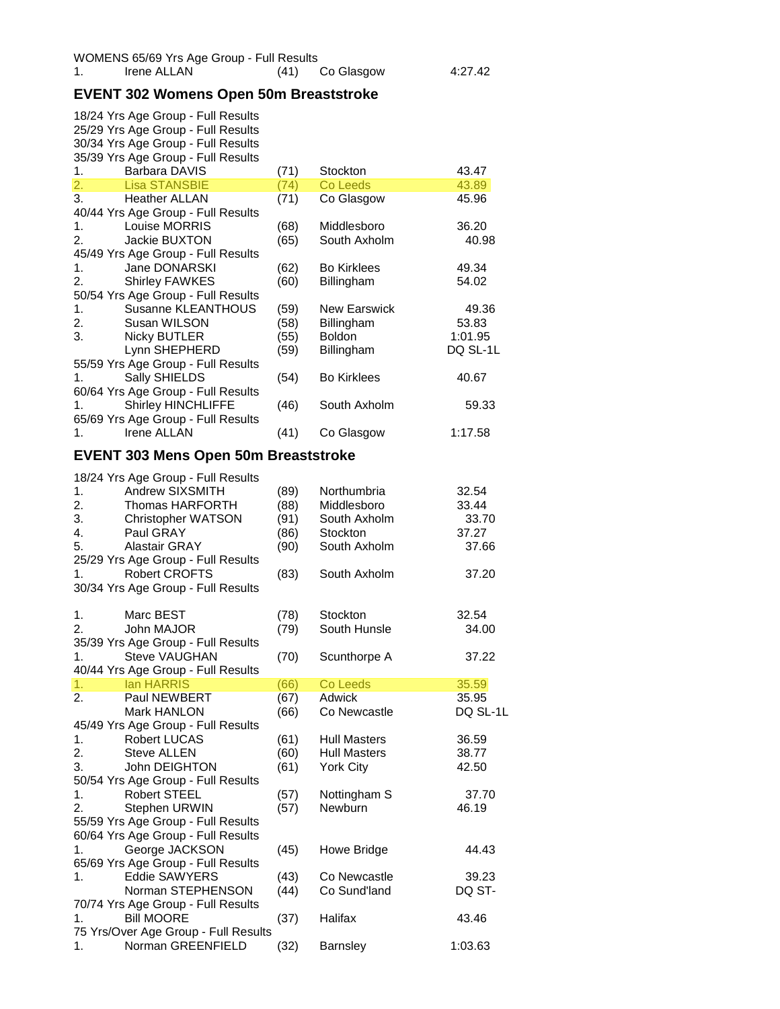# **EVENT 302 Womens Open 50m Breaststroke**

| 1.               | 18/24 Yrs Age Group - Full Results<br>25/29 Yrs Age Group - Full Results<br>30/34 Yrs Age Group - Full Results<br>35/39 Yrs Age Group - Full Results<br><b>Barbara DAVIS</b> | (71)                 | Stockton                                           | 43.47                     |
|------------------|------------------------------------------------------------------------------------------------------------------------------------------------------------------------------|----------------------|----------------------------------------------------|---------------------------|
| $\overline{2}$ . | <b>Lisa STANSBIE</b>                                                                                                                                                         | (74)                 | Co Leeds                                           | 43.89                     |
| 3.               | <b>Heather ALLAN</b>                                                                                                                                                         | (71)                 | Co Glasgow                                         | 45.96                     |
| 1.<br>2.         | 40/44 Yrs Age Group - Full Results<br>Louise MORRIS<br>Jackie BUXTON<br>45/49 Yrs Age Group - Full Results                                                                   | (68)<br>(65)         | Middlesboro<br>South Axholm                        | 36.20<br>40.98            |
| 1.<br>2.         | Jane DONARSKI<br><b>Shirley FAWKES</b><br>50/54 Yrs Age Group - Full Results                                                                                                 | (62)<br>(60)         | <b>Bo Kirklees</b><br>Billingham                   | 49.34<br>54.02            |
| 1.<br>2.<br>3.   | Susanne KLEANTHOUS<br>Susan WILSON<br><b>Nicky BUTLER</b>                                                                                                                    | (59)<br>(58)<br>(55) | <b>New Earswick</b><br>Billingham<br><b>Boldon</b> | 49.36<br>53.83<br>1:01.95 |
|                  | Lynn SHEPHERD<br>55/59 Yrs Age Group - Full Results                                                                                                                          | (59)                 | Billingham                                         | DQ SL-1L                  |
| 1.               | Sally SHIELDS<br>60/64 Yrs Age Group - Full Results                                                                                                                          | (54)                 | <b>Bo Kirklees</b>                                 | 40.67                     |
| 1.               | <b>Shirley HINCHLIFFE</b><br>65/69 Yrs Age Group - Full Results                                                                                                              | (46)                 | South Axholm                                       | 59.33                     |
| 1.               | Irene ALLAN                                                                                                                                                                  | (41)                 | Co Glasgow                                         | 1:17.58                   |
|                  | <b>EVENT 303 Mens Open 50m Breaststroke</b>                                                                                                                                  |                      |                                                    |                           |
|                  | 18/24 Yrs Age Group - Full Results                                                                                                                                           |                      |                                                    |                           |
| 1.<br>2.         | Andrew SIXSMITH                                                                                                                                                              | (89)                 | Northumbria                                        | 32.54                     |
|                  | Thomas HARFORTH                                                                                                                                                              | (88)                 | Middlesboro                                        | 33.44                     |
| 3.               | <b>Christopher WATSON</b>                                                                                                                                                    | (91)                 | South Axholm                                       | 33.70                     |
| 4.               | Paul GRAY                                                                                                                                                                    | (86)                 | Stockton                                           | 37.27                     |
| 5.               | Alastair GRAY<br>25/29 Yrs Age Group - Full Results                                                                                                                          | (90)                 | South Axholm                                       | 37.66                     |
| 1.               | <b>Robert CROFTS</b><br>30/34 Yrs Age Group - Full Results                                                                                                                   | (83)                 | South Axholm                                       | 37.20                     |
| 1.               | Marc BEST                                                                                                                                                                    | (78)                 | Stockton                                           | 32.54                     |
| 2.               | John MAJOR<br>35/39 Yrs Age Group - Full Results                                                                                                                             | (79)                 | South Hunsle                                       | 34.00                     |
| 1.               | <b>Steve VAUGHAN</b><br>40/44 Yrs Age Group - Full Results                                                                                                                   | (70)                 | Scunthorpe A                                       | 37.22                     |
| 1.               | lan HARRIS                                                                                                                                                                   | (66)                 | Co Leeds                                           | 35.59                     |
| 2.               | Paul NEWBERT                                                                                                                                                                 | (67)                 | Adwick                                             | 35.95                     |
|                  | Mark HANLON<br>45/49 Yrs Age Group - Full Results                                                                                                                            | (66)                 | Co Newcastle                                       | DQ SL-1L                  |
| 1.               | Robert LUCAS                                                                                                                                                                 | (61)                 | <b>Hull Masters</b>                                | 36.59                     |
| 2.               | <b>Steve ALLEN</b>                                                                                                                                                           | (60)                 | <b>Hull Masters</b>                                | 38.77                     |
| 3.               | John DEIGHTON<br>50/54 Yrs Age Group - Full Results                                                                                                                          | (61)                 | <b>York City</b>                                   | 42.50                     |
| 1.               | Robert STEEL                                                                                                                                                                 | (57)                 | Nottingham S                                       | 37.70                     |
| 2.               | Stephen URWIN                                                                                                                                                                | (57)                 | Newburn                                            | 46.19                     |
|                  | 55/59 Yrs Age Group - Full Results                                                                                                                                           |                      |                                                    |                           |
|                  | 60/64 Yrs Age Group - Full Results                                                                                                                                           |                      |                                                    |                           |
| 1.               | George JACKSON<br>65/69 Yrs Age Group - Full Results                                                                                                                         | (45)                 | Howe Bridge                                        | 44.43                     |
| 1.               | <b>Eddie SAWYERS</b>                                                                                                                                                         | (43)                 | Co Newcastle                                       | 39.23                     |
|                  | Norman STEPHENSON<br>70/74 Yrs Age Group - Full Results                                                                                                                      | (44)                 | Co Sund'land                                       | DQ ST-                    |
| 1.               | <b>Bill MOORE</b><br>75 Yrs/Over Age Group - Full Results                                                                                                                    | (37)                 | Halifax                                            | 43.46                     |
| 1.               | Norman GREENFIELD                                                                                                                                                            | (32)                 | <b>Barnsley</b>                                    | 1:03.63                   |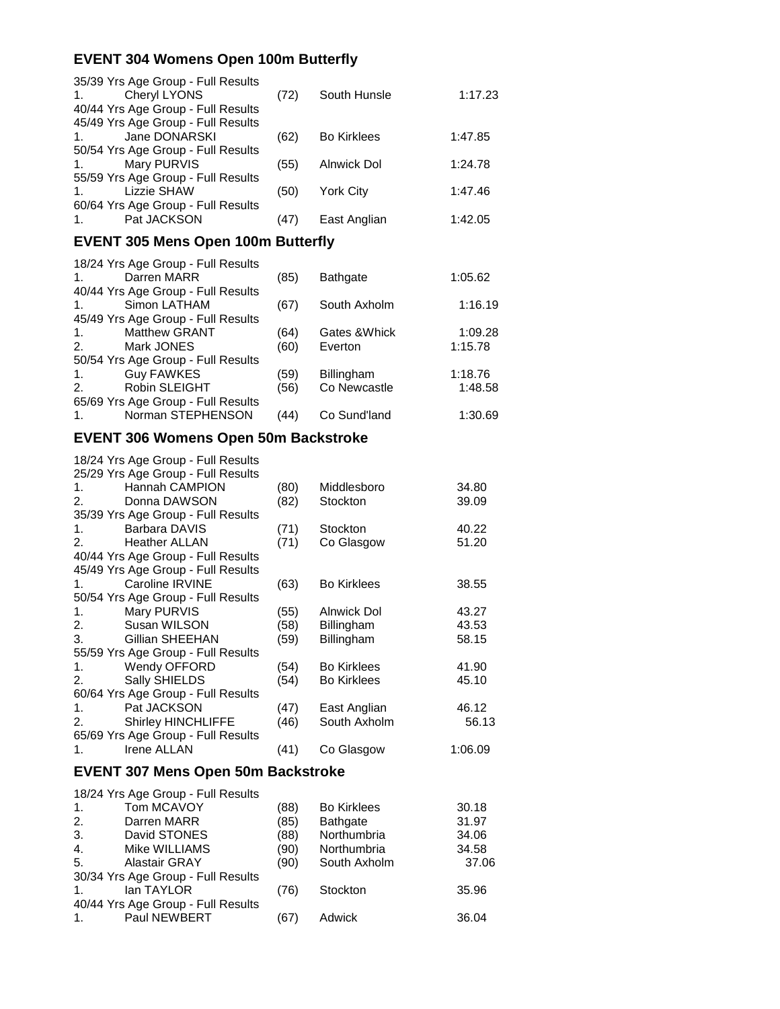#### **EVENT 304 Womens Open 100m Butterfly**

| 35/39 Yrs Age Group - Full Results<br>Cheryl LYONS<br>1.<br>40/44 Yrs Age Group - Full Results | (72) | South Hunsle       | 1:17.23 |
|------------------------------------------------------------------------------------------------|------|--------------------|---------|
| 45/49 Yrs Age Group - Full Results<br>Jane DONARSKI<br>1.                                      | (62) | <b>Bo Kirklees</b> | 1:47.85 |
| 50/54 Yrs Age Group - Full Results<br>Mary PURVIS<br>1.<br>55/59 Yrs Age Group - Full Results  | (55) | Alnwick Dol        | 1:24.78 |
| <b>Lizzie SHAW</b><br>1.<br>60/64 Yrs Age Group - Full Results                                 | (50) | <b>York City</b>   | 1:47.46 |
| Pat JACKSON<br>1.                                                                              | (47) | East Anglian       | 1:42.05 |
| <b>EVENT 305 Mens Open 100m Butterfly</b>                                                      |      |                    |         |
| 18/24 Yrs Age Group - Full Results<br>Darren MARR<br>1.<br>40/44 Yrs Age Group - Full Results  | (85) | <b>Bathgate</b>    | 1:05.62 |
| Simon LATHAM<br>1.<br>45/49 Yrs Age Group - Full Results                                       | (67) | South Axholm       | 1:16.19 |
| <b>Matthew GRANT</b><br>1.                                                                     | (64) | Gates & Whick      | 1:09.28 |
| 2.<br>Mark JONES                                                                               | (60) | Everton            | 1:15.78 |
| 50/54 Yrs Age Group - Full Results                                                             |      |                    |         |
| <b>Guy FAWKES</b><br>1.                                                                        | (59) | Billingham         | 1:18.76 |
| 2.<br>Robin SLEIGHT                                                                            | (56) | Co Newcastle       | 1:48.58 |
| 65/69 Yrs Age Group - Full Results                                                             |      |                    |         |
| 1.<br>Norman STEPHENSON                                                                        | (44) | Co Sund'land       | 1:30.69 |
| <b>EVENT 306 Womens Open 50m Backstroke</b>                                                    |      |                    |         |
| 18/24 Yrs Age Group - Full Results                                                             |      |                    |         |
| 25/29 Yrs Age Group - Full Results<br>Hannah CAMPION                                           |      |                    |         |
| 1.                                                                                             | (80) | Middlesboro        | 34.80   |
| 2.<br>Donna DAWSON                                                                             | (82) | Stockton           | 39.09   |
| 35/39 Yrs Age Group - Full Results                                                             |      |                    |         |
| 1.<br>Barbara DAVIS                                                                            | (71) | Stockton           | 40.22   |
| 2.<br><b>Heather ALLAN</b>                                                                     | (71) | Co Glasgow         | 51.20   |
| 40/44 Yrs Age Group - Full Results                                                             |      |                    |         |
| 45/49 Yrs Age Group - Full Results                                                             |      |                    |         |
| Caroline IRVINE<br>1.                                                                          | (63) | <b>Bo Kirklees</b> | 38.55   |
| 50/54 Yrs Age Group - Full Results                                                             |      |                    |         |
| 1.<br>Mary PURVIS                                                                              | (55) | Alnwick Dol        | 43.27   |
| 2.<br>Susan WILSON                                                                             | (58) | Billingham         | 43.53   |
| 3.<br>Gillian SHEEHAN                                                                          | (59) | Billingham         | 58.15   |
| 55/59 Yrs Age Group - Full Results                                                             |      |                    |         |
| Wendy OFFORD<br>1.                                                                             | (54) | <b>Bo Kirklees</b> | 41.90   |
| 2.<br>Sally SHIELDS                                                                            | (54) | <b>Bo Kirklees</b> | 45.10   |
| 60/64 Yrs Age Group - Full Results                                                             |      |                    |         |
| Pat JACKSON<br>1.                                                                              | (47) | East Anglian       | 46.12   |
| 2.<br><b>Shirley HINCHLIFFE</b>                                                                | (46) | South Axholm       | 56.13   |
| 65/69 Yrs Age Group - Full Results                                                             |      |                    |         |

#### 1. Irene ALLAN (41) Co Glasgow 1:06.09

#### **EVENT 307 Mens Open 50m Backstroke**

|                | 18/24 Yrs Age Group - Full Results |      |                    |       |
|----------------|------------------------------------|------|--------------------|-------|
| 1.             | Tom MCAVOY                         | (88) | <b>Bo Kirklees</b> | 30.18 |
| 2.             | Darren MARR                        | (85) | <b>Bathgate</b>    | 31.97 |
| 3.             | David STONES                       | (88) | Northumbria        | 34.06 |
| $\mathbf{4}$ . | Mike WILLIAMS                      | (90) | Northumbria        | 34.58 |
| 5.             | <b>Alastair GRAY</b>               | (90) | South Axholm       | 37.06 |
|                | 30/34 Yrs Age Group - Full Results |      |                    |       |
| $\mathbf{1}$ . | lan TAYLOR                         | (76) | Stockton           | 35.96 |
|                | 40/44 Yrs Age Group - Full Results |      |                    |       |
| $\mathbf{1}$ . | <b>Paul NEWBERT</b>                | (67) | Adwick             | 36.04 |
|                |                                    |      |                    |       |